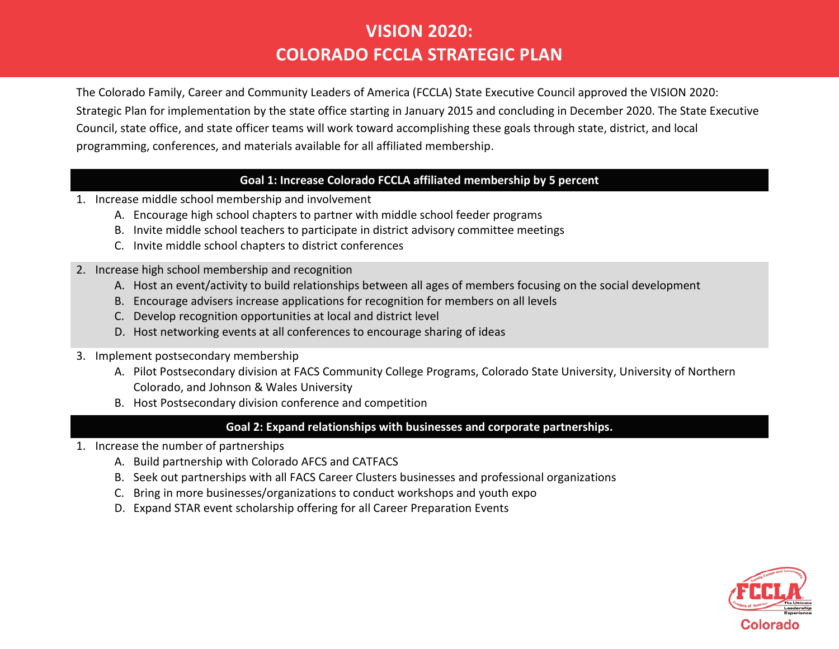## **VISION 2020: COLORADO FCCLA STRATEGIC PLAN**

The Colorado Family, Career and Community Leaders of America (FCCLA) State Executive Council approved the VISION 2020: Strategic Plan for implementation by the state office starting in January 2015 and concluding in December 2020. The State Executive Council, state office, and state officer teams will work toward accomplishing these goals through state, district, and local programming, conferences, and materials available for all affiliated membership.

#### **Goal 1: Increase Colorado FCCLA affiliated membership by 5 percent**

- 1. Increase middle school membership and involvement
	- A. Encourage high school chapters to partner with middle school feeder programs
	- B. Invite middle school teachers to participate in district advisory committee meetings
	- C. Invite middle school chapters to district conferences
- 2. Increase high school membership and recognition
	- A. Host an event/activity to build relationships between all ages of members focusing on the social development
	- B. Encourage advisers increase applications for recognition for members on all levels
	- C. Develop recognition opportunities at local and district level
	- D. Host networking events at all conferences to encourage sharing of ideas
- 3. Implement postsecondary membership
	- A. Pilot Postsecondary division at FACS Community College Programs, Colorado State University, University of Northern Colorado, and Johnson & Wales University
	- B. Host Postsecondary division conference and competition

### **Goal 2: Expand relationships with businesses and corporate partnerships.**

- 1. Increase the number of partnerships
	- A. Build partnership with Colorado AFCS and CATFACS
	- B. Seek out partnerships with all FACS Career Clusters businesses and professional organizations
	- C. Bring in more businesses/organizations to conduct workshops and youth expo
	- D. Expand STAR event scholarship offering for all Career Preparation Events